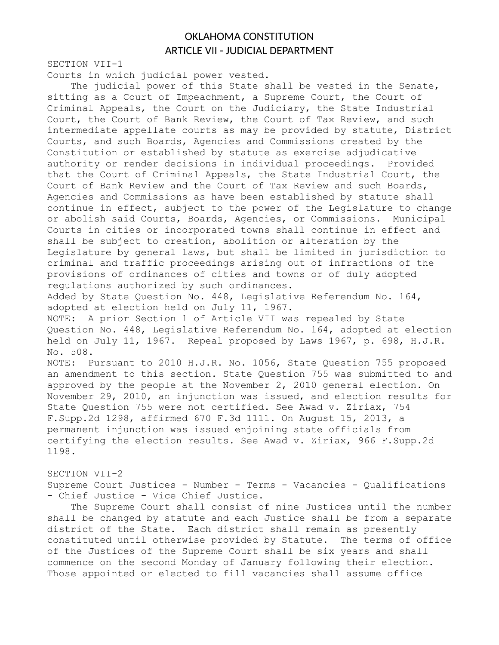# OKLAHOMA CONSTITUTION ARTICLE VII - JUDICIAL DEPARTMENT

SECTION VII-1

Courts in which judicial power vested.

The judicial power of this State shall be vested in the Senate, sitting as a Court of Impeachment, a Supreme Court, the Court of Criminal Appeals, the Court on the Judiciary, the State Industrial Court, the Court of Bank Review, the Court of Tax Review, and such intermediate appellate courts as may be provided by statute, District Courts, and such Boards, Agencies and Commissions created by the Constitution or established by statute as exercise adjudicative authority or render decisions in individual proceedings. Provided that the Court of Criminal Appeals, the State Industrial Court, the Court of Bank Review and the Court of Tax Review and such Boards, Agencies and Commissions as have been established by statute shall continue in effect, subject to the power of the Legislature to change or abolish said Courts, Boards, Agencies, or Commissions. Municipal Courts in cities or incorporated towns shall continue in effect and shall be subject to creation, abolition or alteration by the Legislature by general laws, but shall be limited in jurisdiction to criminal and traffic proceedings arising out of infractions of the provisions of ordinances of cities and towns or of duly adopted regulations authorized by such ordinances. Added by State Question No. 448, Legislative Referendum No. 164, adopted at election held on July 11, 1967. NOTE: A prior Section 1 of Article VII was repealed by State Question No. 448, Legislative Referendum No. 164, adopted at election held on July 11, 1967. Repeal proposed by Laws 1967, p. 698, H.J.R. No. 508. NOTE: Pursuant to 2010 H.J.R. No. 1056, State Question 755 proposed an amendment to this section. State Question 755 was submitted to and approved by the people at the November 2, 2010 general election. On November 29, 2010, an injunction was issued, and election results for State Question 755 were not certified. See Awad v. Ziriax, 754 F.Supp.2d 1298, affirmed 670 F.3d 1111. On August 15, 2013, a permanent injunction was issued enjoining state officials from certifying the election results. See Awad v. Ziriax, 966 F.Supp.2d 1198.

SECTION VII-2 Supreme Court Justices - Number - Terms - Vacancies - Qualifications - Chief Justice - Vice Chief Justice.

The Supreme Court shall consist of nine Justices until the number shall be changed by statute and each Justice shall be from a separate district of the State. Each district shall remain as presently constituted until otherwise provided by Statute. The terms of office of the Justices of the Supreme Court shall be six years and shall commence on the second Monday of January following their election. Those appointed or elected to fill vacancies shall assume office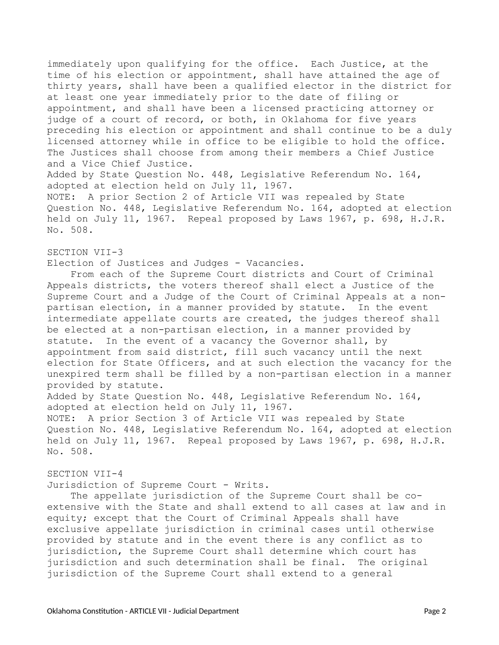immediately upon qualifying for the office. Each Justice, at the time of his election or appointment, shall have attained the age of thirty years, shall have been a qualified elector in the district for at least one year immediately prior to the date of filing or appointment, and shall have been a licensed practicing attorney or judge of a court of record, or both, in Oklahoma for five years preceding his election or appointment and shall continue to be a duly licensed attorney while in office to be eligible to hold the office. The Justices shall choose from among their members a Chief Justice and a Vice Chief Justice. Added by State Question No. 448, Legislative Referendum No. 164, adopted at election held on July 11, 1967. NOTE: A prior Section 2 of Article VII was repealed by State Question No. 448, Legislative Referendum No. 164, adopted at election

held on July 11, 1967. Repeal proposed by Laws 1967, p. 698, H.J.R. No. 508.

#### SECTION VII-3

Election of Justices and Judges - Vacancies.

From each of the Supreme Court districts and Court of Criminal Appeals districts, the voters thereof shall elect a Justice of the Supreme Court and a Judge of the Court of Criminal Appeals at a nonpartisan election, in a manner provided by statute. In the event intermediate appellate courts are created, the judges thereof shall be elected at a non-partisan election, in a manner provided by statute. In the event of a vacancy the Governor shall, by appointment from said district, fill such vacancy until the next election for State Officers, and at such election the vacancy for the unexpired term shall be filled by a non-partisan election in a manner provided by statute. Added by State Question No. 448, Legislative Referendum No. 164, adopted at election held on July 11, 1967.

NOTE: A prior Section 3 of Article VII was repealed by State Question No. 448, Legislative Referendum No. 164, adopted at election held on July 11, 1967. Repeal proposed by Laws 1967, p. 698, H.J.R. No. 508.

# SECTION VII-4

Jurisdiction of Supreme Court - Writs.

The appellate jurisdiction of the Supreme Court shall be coextensive with the State and shall extend to all cases at law and in equity; except that the Court of Criminal Appeals shall have exclusive appellate jurisdiction in criminal cases until otherwise provided by statute and in the event there is any conflict as to jurisdiction, the Supreme Court shall determine which court has jurisdiction and such determination shall be final. The original jurisdiction of the Supreme Court shall extend to a general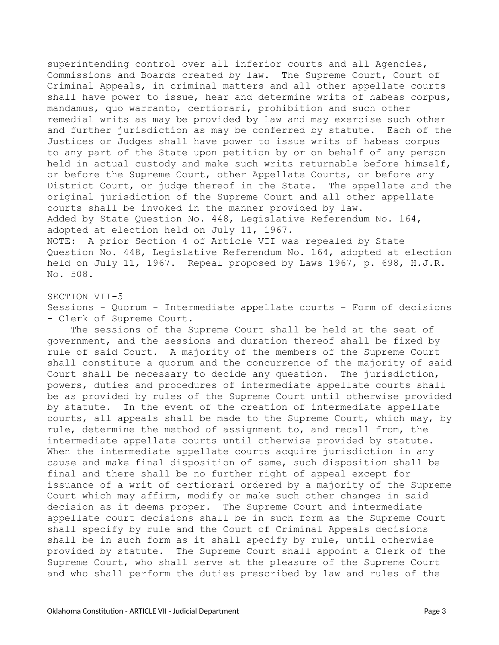superintending control over all inferior courts and all Agencies, Commissions and Boards created by law. The Supreme Court, Court of Criminal Appeals, in criminal matters and all other appellate courts shall have power to issue, hear and determine writs of habeas corpus, mandamus, quo warranto, certiorari, prohibition and such other remedial writs as may be provided by law and may exercise such other and further jurisdiction as may be conferred by statute. Each of the Justices or Judges shall have power to issue writs of habeas corpus to any part of the State upon petition by or on behalf of any person held in actual custody and make such writs returnable before himself, or before the Supreme Court, other Appellate Courts, or before any District Court, or judge thereof in the State. The appellate and the original jurisdiction of the Supreme Court and all other appellate courts shall be invoked in the manner provided by law. Added by State Question No. 448, Legislative Referendum No. 164, adopted at election held on July 11, 1967. NOTE: A prior Section 4 of Article VII was repealed by State Question No. 448, Legislative Referendum No. 164, adopted at election held on July 11, 1967. Repeal proposed by Laws 1967, p. 698, H.J.R. No. 508.

SECTION VII-5 Sessions - Quorum - Intermediate appellate courts - Form of decisions - Clerk of Supreme Court.

The sessions of the Supreme Court shall be held at the seat of government, and the sessions and duration thereof shall be fixed by rule of said Court. A majority of the members of the Supreme Court shall constitute a quorum and the concurrence of the majority of said Court shall be necessary to decide any question. The jurisdiction, powers, duties and procedures of intermediate appellate courts shall be as provided by rules of the Supreme Court until otherwise provided by statute. In the event of the creation of intermediate appellate courts, all appeals shall be made to the Supreme Court, which may, by rule, determine the method of assignment to, and recall from, the intermediate appellate courts until otherwise provided by statute. When the intermediate appellate courts acquire jurisdiction in any cause and make final disposition of same, such disposition shall be final and there shall be no further right of appeal except for issuance of a writ of certiorari ordered by a majority of the Supreme Court which may affirm, modify or make such other changes in said decision as it deems proper. The Supreme Court and intermediate appellate court decisions shall be in such form as the Supreme Court shall specify by rule and the Court of Criminal Appeals decisions shall be in such form as it shall specify by rule, until otherwise provided by statute. The Supreme Court shall appoint a Clerk of the Supreme Court, who shall serve at the pleasure of the Supreme Court and who shall perform the duties prescribed by law and rules of the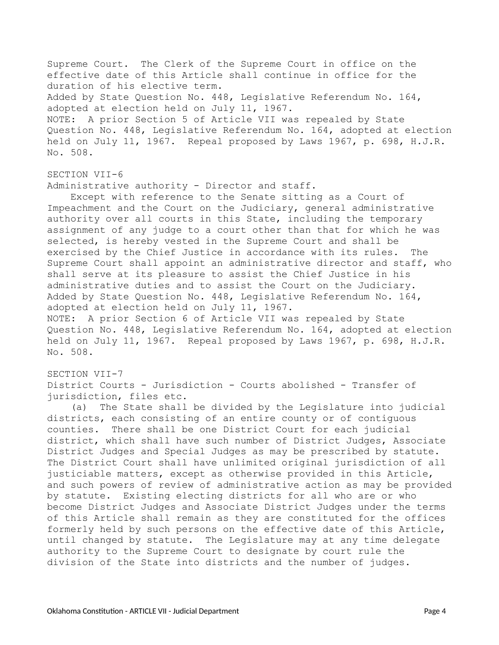Supreme Court. The Clerk of the Supreme Court in office on the effective date of this Article shall continue in office for the duration of his elective term. Added by State Question No. 448, Legislative Referendum No. 164, adopted at election held on July 11, 1967. NOTE: A prior Section 5 of Article VII was repealed by State Question No. 448, Legislative Referendum No. 164, adopted at election held on July 11, 1967. Repeal proposed by Laws 1967, p. 698, H.J.R. No. 508.

## SECTION VII-6

Administrative authority - Director and staff.

Except with reference to the Senate sitting as a Court of Impeachment and the Court on the Judiciary, general administrative authority over all courts in this State, including the temporary assignment of any judge to a court other than that for which he was selected, is hereby vested in the Supreme Court and shall be exercised by the Chief Justice in accordance with its rules. The Supreme Court shall appoint an administrative director and staff, who shall serve at its pleasure to assist the Chief Justice in his administrative duties and to assist the Court on the Judiciary. Added by State Question No. 448, Legislative Referendum No. 164, adopted at election held on July 11, 1967. NOTE: A prior Section 6 of Article VII was repealed by State Question No. 448, Legislative Referendum No. 164, adopted at election held on July 11, 1967. Repeal proposed by Laws 1967, p. 698, H.J.R. No. 508.

#### SECTION VII-7

District Courts - Jurisdiction - Courts abolished - Transfer of jurisdiction, files etc.

(a) The State shall be divided by the Legislature into judicial districts, each consisting of an entire county or of contiguous counties. There shall be one District Court for each judicial district, which shall have such number of District Judges, Associate District Judges and Special Judges as may be prescribed by statute. The District Court shall have unlimited original jurisdiction of all justiciable matters, except as otherwise provided in this Article, and such powers of review of administrative action as may be provided by statute. Existing electing districts for all who are or who become District Judges and Associate District Judges under the terms of this Article shall remain as they are constituted for the offices formerly held by such persons on the effective date of this Article, until changed by statute. The Legislature may at any time delegate authority to the Supreme Court to designate by court rule the division of the State into districts and the number of judges.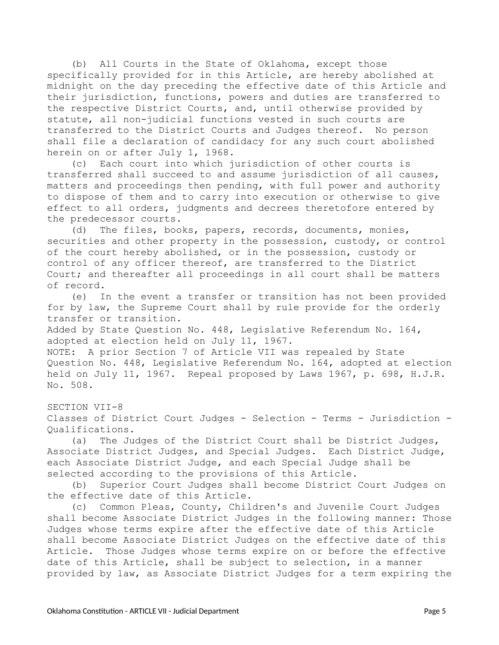(b) All Courts in the State of Oklahoma, except those specifically provided for in this Article, are hereby abolished at midnight on the day preceding the effective date of this Article and their jurisdiction, functions, powers and duties are transferred to the respective District Courts, and, until otherwise provided by statute, all non-judicial functions vested in such courts are transferred to the District Courts and Judges thereof. No person shall file a declaration of candidacy for any such court abolished herein on or after July 1, 1968.

(c) Each court into which jurisdiction of other courts is transferred shall succeed to and assume jurisdiction of all causes, matters and proceedings then pending, with full power and authority to dispose of them and to carry into execution or otherwise to give effect to all orders, judgments and decrees theretofore entered by the predecessor courts.

(d) The files, books, papers, records, documents, monies, securities and other property in the possession, custody, or control of the court hereby abolished, or in the possession, custody or control of any officer thereof, are transferred to the District Court; and thereafter all proceedings in all court shall be matters of record.

(e) In the event a transfer or transition has not been provided for by law, the Supreme Court shall by rule provide for the orderly transfer or transition.

Added by State Question No. 448, Legislative Referendum No. 164, adopted at election held on July 11, 1967.

NOTE: A prior Section 7 of Article VII was repealed by State Question No. 448, Legislative Referendum No. 164, adopted at election held on July 11, 1967. Repeal proposed by Laws 1967, p. 698, H.J.R. No. 508.

SECTION VII-8

Classes of District Court Judges - Selection - Terms - Jurisdiction - Qualifications.

(a) The Judges of the District Court shall be District Judges, Associate District Judges, and Special Judges. Each District Judge, each Associate District Judge, and each Special Judge shall be selected according to the provisions of this Article.

(b) Superior Court Judges shall become District Court Judges on the effective date of this Article.

(c) Common Pleas, County, Children's and Juvenile Court Judges shall become Associate District Judges in the following manner: Those Judges whose terms expire after the effective date of this Article shall become Associate District Judges on the effective date of this Article. Those Judges whose terms expire on or before the effective date of this Article, shall be subject to selection, in a manner provided by law, as Associate District Judges for a term expiring the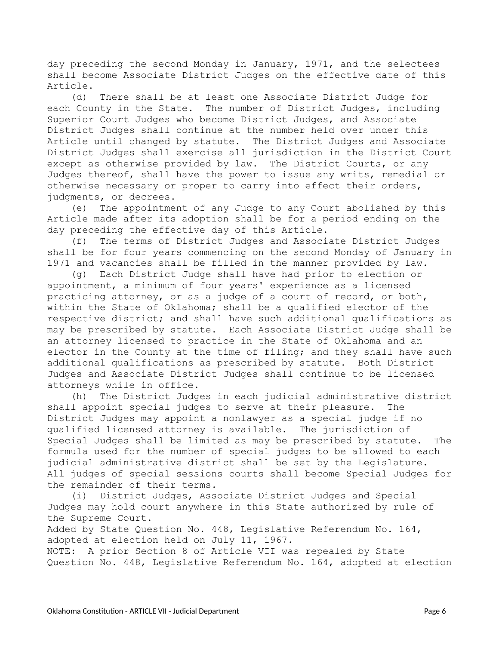day preceding the second Monday in January, 1971, and the selectees shall become Associate District Judges on the effective date of this Article.

(d) There shall be at least one Associate District Judge for each County in the State. The number of District Judges, including Superior Court Judges who become District Judges, and Associate District Judges shall continue at the number held over under this Article until changed by statute. The District Judges and Associate District Judges shall exercise all jurisdiction in the District Court except as otherwise provided by law. The District Courts, or any Judges thereof, shall have the power to issue any writs, remedial or otherwise necessary or proper to carry into effect their orders, judgments, or decrees.

(e) The appointment of any Judge to any Court abolished by this Article made after its adoption shall be for a period ending on the day preceding the effective day of this Article.

(f) The terms of District Judges and Associate District Judges shall be for four years commencing on the second Monday of January in 1971 and vacancies shall be filled in the manner provided by law.

(g) Each District Judge shall have had prior to election or appointment, a minimum of four years' experience as a licensed practicing attorney, or as a judge of a court of record, or both, within the State of Oklahoma; shall be a qualified elector of the respective district; and shall have such additional qualifications as may be prescribed by statute. Each Associate District Judge shall be an attorney licensed to practice in the State of Oklahoma and an elector in the County at the time of filing; and they shall have such additional qualifications as prescribed by statute. Both District Judges and Associate District Judges shall continue to be licensed attorneys while in office.

(h) The District Judges in each judicial administrative district shall appoint special judges to serve at their pleasure. The District Judges may appoint a nonlawyer as a special judge if no qualified licensed attorney is available. The jurisdiction of Special Judges shall be limited as may be prescribed by statute. The formula used for the number of special judges to be allowed to each judicial administrative district shall be set by the Legislature. All judges of special sessions courts shall become Special Judges for the remainder of their terms.

(i) District Judges, Associate District Judges and Special Judges may hold court anywhere in this State authorized by rule of the Supreme Court.

Added by State Question No. 448, Legislative Referendum No. 164, adopted at election held on July 11, 1967.

NOTE: A prior Section 8 of Article VII was repealed by State Question No. 448, Legislative Referendum No. 164, adopted at election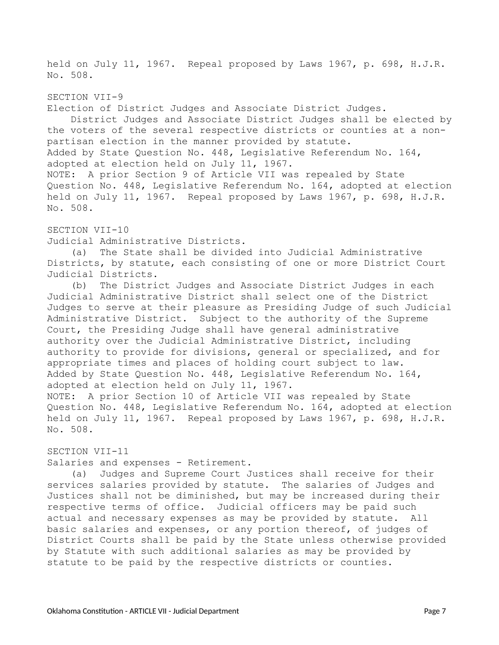held on July 11, 1967. Repeal proposed by Laws 1967, p. 698, H.J.R. No. 508.

SECTION VII-9 Election of District Judges and Associate District Judges. District Judges and Associate District Judges shall be elected by the voters of the several respective districts or counties at a nonpartisan election in the manner provided by statute. Added by State Question No. 448, Legislative Referendum No. 164, adopted at election held on July 11, 1967. NOTE: A prior Section 9 of Article VII was repealed by State Question No. 448, Legislative Referendum No. 164, adopted at election held on July 11, 1967. Repeal proposed by Laws 1967, p. 698, H.J.R. No. 508.

SECTION VII-10

Judicial Administrative Districts.

(a) The State shall be divided into Judicial Administrative Districts, by statute, each consisting of one or more District Court Judicial Districts.

(b) The District Judges and Associate District Judges in each Judicial Administrative District shall select one of the District Judges to serve at their pleasure as Presiding Judge of such Judicial Administrative District. Subject to the authority of the Supreme Court, the Presiding Judge shall have general administrative authority over the Judicial Administrative District, including authority to provide for divisions, general or specialized, and for appropriate times and places of holding court subject to law. Added by State Question No. 448, Legislative Referendum No. 164, adopted at election held on July 11, 1967. NOTE: A prior Section 10 of Article VII was repealed by State Question No. 448, Legislative Referendum No. 164, adopted at election held on July 11, 1967. Repeal proposed by Laws 1967, p. 698, H.J.R. No. 508.

#### SECTION VII-11

Salaries and expenses - Retirement.

(a) Judges and Supreme Court Justices shall receive for their services salaries provided by statute. The salaries of Judges and Justices shall not be diminished, but may be increased during their respective terms of office. Judicial officers may be paid such actual and necessary expenses as may be provided by statute. All basic salaries and expenses, or any portion thereof, of judges of District Courts shall be paid by the State unless otherwise provided by Statute with such additional salaries as may be provided by statute to be paid by the respective districts or counties.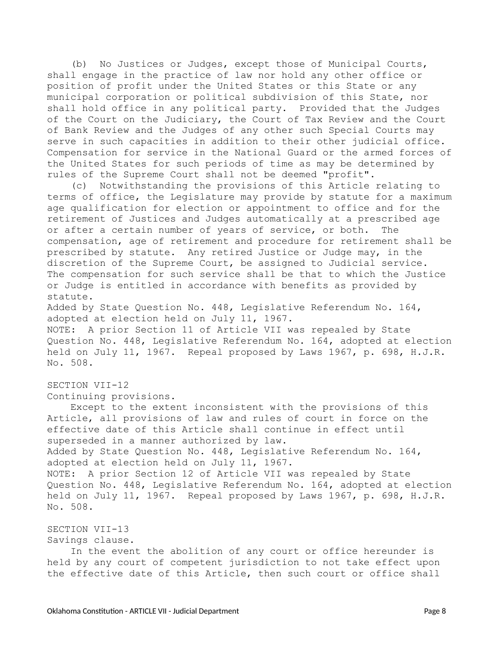(b) No Justices or Judges, except those of Municipal Courts, shall engage in the practice of law nor hold any other office or position of profit under the United States or this State or any municipal corporation or political subdivision of this State, nor shall hold office in any political party. Provided that the Judges of the Court on the Judiciary, the Court of Tax Review and the Court of Bank Review and the Judges of any other such Special Courts may serve in such capacities in addition to their other judicial office. Compensation for service in the National Guard or the armed forces of the United States for such periods of time as may be determined by rules of the Supreme Court shall not be deemed "profit".

(c) Notwithstanding the provisions of this Article relating to terms of office, the Legislature may provide by statute for a maximum age qualification for election or appointment to office and for the retirement of Justices and Judges automatically at a prescribed age or after a certain number of years of service, or both. The compensation, age of retirement and procedure for retirement shall be prescribed by statute. Any retired Justice or Judge may, in the discretion of the Supreme Court, be assigned to Judicial service. The compensation for such service shall be that to which the Justice or Judge is entitled in accordance with benefits as provided by statute.

Added by State Question No. 448, Legislative Referendum No. 164, adopted at election held on July 11, 1967.

NOTE: A prior Section 11 of Article VII was repealed by State Question No. 448, Legislative Referendum No. 164, adopted at election held on July 11, 1967. Repeal proposed by Laws 1967, p. 698, H.J.R. No. 508.

## SECTION VII-12

Continuing provisions.

Except to the extent inconsistent with the provisions of this Article, all provisions of law and rules of court in force on the effective date of this Article shall continue in effect until superseded in a manner authorized by law. Added by State Question No. 448, Legislative Referendum No. 164, adopted at election held on July 11, 1967. NOTE: A prior Section 12 of Article VII was repealed by State Question No. 448, Legislative Referendum No. 164, adopted at election held on July 11, 1967. Repeal proposed by Laws 1967, p. 698, H.J.R. No. 508.

## SECTION VII-13

Savings clause.

In the event the abolition of any court or office hereunder is held by any court of competent jurisdiction to not take effect upon the effective date of this Article, then such court or office shall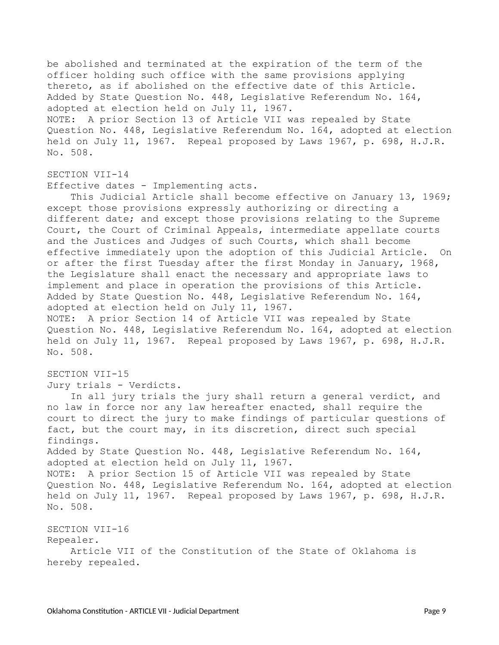be abolished and terminated at the expiration of the term of the officer holding such office with the same provisions applying thereto, as if abolished on the effective date of this Article. Added by State Question No. 448, Legislative Referendum No. 164, adopted at election held on July 11, 1967. NOTE: A prior Section 13 of Article VII was repealed by State Question No. 448, Legislative Referendum No. 164, adopted at election held on July 11, 1967. Repeal proposed by Laws 1967, p. 698, H.J.R. No. 508.

### SECTION VII-14

Effective dates - Implementing acts.

This Judicial Article shall become effective on January 13, 1969; except those provisions expressly authorizing or directing a different date; and except those provisions relating to the Supreme Court, the Court of Criminal Appeals, intermediate appellate courts and the Justices and Judges of such Courts, which shall become effective immediately upon the adoption of this Judicial Article. On or after the first Tuesday after the first Monday in January, 1968, the Legislature shall enact the necessary and appropriate laws to implement and place in operation the provisions of this Article. Added by State Question No. 448, Legislative Referendum No. 164, adopted at election held on July 11, 1967. NOTE: A prior Section 14 of Article VII was repealed by State Question No. 448, Legislative Referendum No. 164, adopted at election held on July 11, 1967. Repeal proposed by Laws 1967, p. 698, H.J.R.

#### SECTION VII-15

No. 508.

Jury trials - Verdicts.

In all jury trials the jury shall return a general verdict, and no law in force nor any law hereafter enacted, shall require the court to direct the jury to make findings of particular questions of fact, but the court may, in its discretion, direct such special findings. Added by State Question No. 448, Legislative Referendum No. 164, adopted at election held on July 11, 1967. NOTE: A prior Section 15 of Article VII was repealed by State Question No. 448, Legislative Referendum No. 164, adopted at election held on July 11, 1967. Repeal proposed by Laws 1967, p. 698, H.J.R. No. 508.

SECTION VII-16 Repealer. Article VII of the Constitution of the State of Oklahoma is hereby repealed.